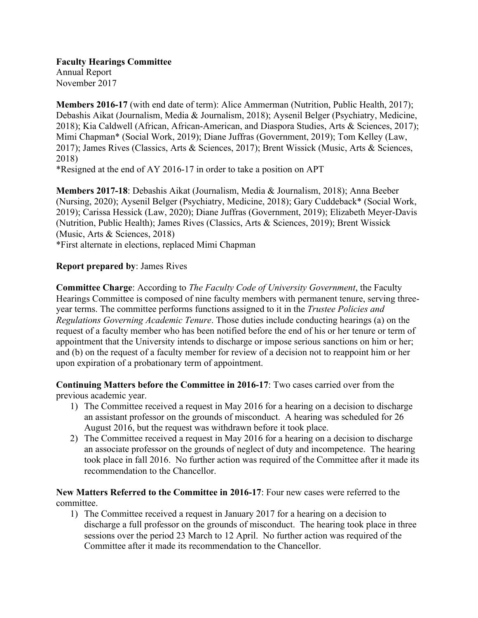**Faculty Hearings Committee**

Annual Report November 2017

**Members 2016-17** (with end date of term): Alice Ammerman (Nutrition, Public Health, 2017); Debashis Aikat (Journalism, Media & Journalism, 2018); Aysenil Belger (Psychiatry, Medicine, 2018); Kia Caldwell (African, African-American, and Diaspora Studies, Arts & Sciences, 2017); Mimi Chapman\* (Social Work, 2019); Diane Juffras (Government, 2019); Tom Kelley (Law, 2017); James Rives (Classics, Arts & Sciences, 2017); Brent Wissick (Music, Arts & Sciences, 2018)

\*Resigned at the end of AY 2016-17 in order to take a position on APT

**Members 2017-18**: Debashis Aikat (Journalism, Media & Journalism, 2018); Anna Beeber (Nursing, 2020); Aysenil Belger (Psychiatry, Medicine, 2018); Gary Cuddeback\* (Social Work, 2019); Carissa Hessick (Law, 2020); Diane Juffras (Government, 2019); Elizabeth Meyer-Davis (Nutrition, Public Health); James Rives (Classics, Arts & Sciences, 2019); Brent Wissick (Music, Arts & Sciences, 2018)

\*First alternate in elections, replaced Mimi Chapman

## **Report prepared by**: James Rives

**Committee Charge**: According to *The Faculty Code of University Government*, the Faculty Hearings Committee is composed of nine faculty members with permanent tenure, serving threeyear terms. The committee performs functions assigned to it in the *Trustee Policies and Regulations Governing Academic Tenure*. Those duties include conducting hearings (a) on the request of a faculty member who has been notified before the end of his or her tenure or term of appointment that the University intends to discharge or impose serious sanctions on him or her; and (b) on the request of a faculty member for review of a decision not to reappoint him or her upon expiration of a probationary term of appointment.

**Continuing Matters before the Committee in 2016-17**: Two cases carried over from the previous academic year.

- 1) The Committee received a request in May 2016 for a hearing on a decision to discharge an assistant professor on the grounds of misconduct. A hearing was scheduled for 26 August 2016, but the request was withdrawn before it took place.
- 2) The Committee received a request in May 2016 for a hearing on a decision to discharge an associate professor on the grounds of neglect of duty and incompetence. The hearing took place in fall 2016. No further action was required of the Committee after it made its recommendation to the Chancellor.

**New Matters Referred to the Committee in 2016-17**: Four new cases were referred to the committee.

1) The Committee received a request in January 2017 for a hearing on a decision to discharge a full professor on the grounds of misconduct. The hearing took place in three sessions over the period 23 March to 12 April. No further action was required of the Committee after it made its recommendation to the Chancellor.